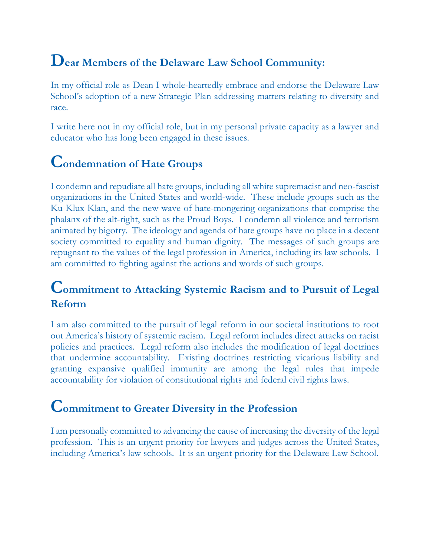## **Dear Members of the Delaware Law School Community:**

In my official role as Dean I whole-heartedly embrace and endorse the Delaware Law School's adoption of a new Strategic Plan addressing matters relating to diversity and race.

I write here not in my official role, but in my personal private capacity as a lawyer and educator who has long been engaged in these issues.

## **Condemnation of Hate Groups**

I condemn and repudiate all hate groups, including all white supremacist and neo-fascist organizations in the United States and world-wide. These include groups such as the Ku Klux Klan, and the new wave of hate-mongering organizations that comprise the phalanx of the alt-right, such as the Proud Boys. I condemn all violence and terrorism animated by bigotry. The ideology and agenda of hate groups have no place in a decent society committed to equality and human dignity. The messages of such groups are repugnant to the values of the legal profession in America, including its law schools. I am committed to fighting against the actions and words of such groups.

#### **Commitment to Attacking Systemic Racism and to Pursuit of Legal Reform**

I am also committed to the pursuit of legal reform in our societal institutions to root out America's history of systemic racism. Legal reform includes direct attacks on racist policies and practices. Legal reform also includes the modification of legal doctrines that undermine accountability. Existing doctrines restricting vicarious liability and granting expansive qualified immunity are among the legal rules that impede accountability for violation of constitutional rights and federal civil rights laws.

#### **Commitment to Greater Diversity in the Profession**

I am personally committed to advancing the cause of increasing the diversity of the legal profession. This is an urgent priority for lawyers and judges across the United States, including America's law schools. It is an urgent priority for the Delaware Law School.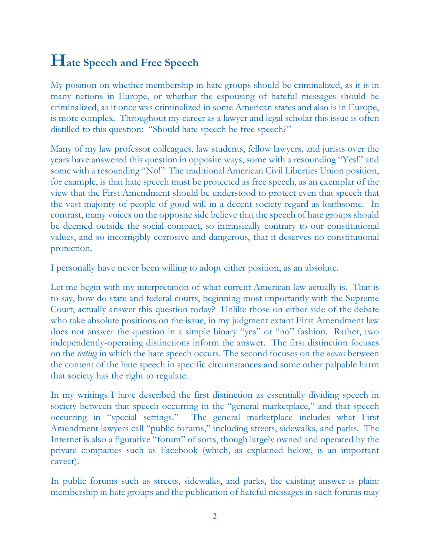# **Hate Speech and Free Speech**

My position on whether membership in hate groups should be criminalized, as it is in many nations in Europe, or whether the espousing of hateful messages should be criminalized, as it once was criminalized in some American states and also is in Europe, is more complex. Throughout my career as a lawyer and legal scholar this issue is often distilled to this question: "Should hate speech be free speech?"

Many of my law professor colleagues, law students, fellow lawyers, and jurists over the years have answered this question in opposite ways, some with a resounding "Yes!" and some with a resounding "No!" The traditional American Civil Liberties Union position, for example, is that hate speech must be protected as free speech, as an exemplar of the view that the First Amendment should be understood to protect even that speech that the vast majority of people of good will in a decent society regard as loathsome. In contrast, many voices on the opposite side believe that the speech of hate groups should be deemed outside the social compact, so intrinsically contrary to our constitutional values, and so incorrigibly corrosive and dangerous, that it deserves no constitutional protection.

I personally have never been willing to adopt either position, as an absolute.

Let me begin with my interpretation of what current American law actually is. That is to say, how do state and federal courts, beginning most importantly with the Supreme Court, actually answer this question today? Unlike those on either side of the debate who take absolute positions on the issue, in my judgment extant First Amendment law does not answer the question in a simple binary "yes" or "no" fashion. Rather, two independently-operating distinctions inform the answer. The first distinction focuses on the *setting* in which the hate speech occurs. The second focuses on the *nexus* between the content of the hate speech in specific circumstances and some other palpable harm that society has the right to regulate.

In my writings I have described the first distinction as essentially dividing speech in society between that speech occurring in the "general marketplace," and that speech occurring in "special settings." The general marketplace includes what First Amendment lawyers call "public forums," including streets, sidewalks, and parks. The Internet is also a figurative "forum" of sorts, though largely owned and operated by the private companies such as Facebook (which, as explained below, is an important caveat).

In public forums such as streets, sidewalks, and parks, the existing answer is plain: membership in hate groups and the publication of hateful messages in such forums may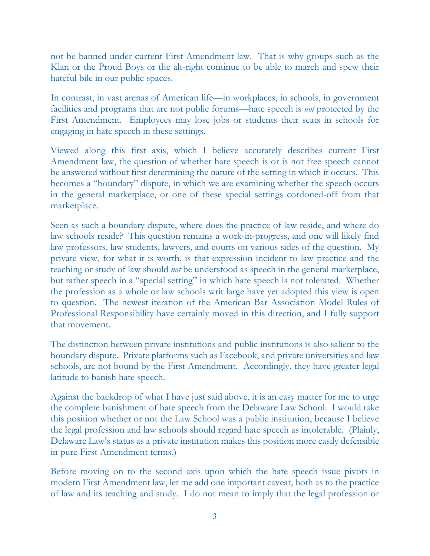not be banned under current First Amendment law. That is why groups such as the Klan or the Proud Boys or the alt-right continue to be able to march and spew their hateful bile in our public spaces.

In contrast, in vast arenas of American life—in workplaces, in schools, in government facilities and programs that are not public forums—hate speech is *not* protected by the First Amendment. Employees may lose jobs or students their seats in schools for engaging in hate speech in these settings.

Viewed along this first axis, which I believe accurately describes current First Amendment law, the question of whether hate speech is or is not free speech cannot be answered without first determining the nature of the setting in which it occurs. This becomes a "boundary" dispute, in which we are examining whether the speech occurs in the general marketplace, or one of these special settings cordoned-off from that marketplace.

Seen as such a boundary dispute, where does the practice of law reside, and where do law schools reside? This question remains a work-in-progress, and one will likely find law professors, law students, lawyers, and courts on various sides of the question. My private view, for what it is worth, is that expression incident to law practice and the teaching or study of law should *not* be understood as speech in the general marketplace, but rather speech in a "special setting" in which hate speech is not tolerated. Whether the profession as a whole or law schools writ large have yet adopted this view is open to question. The newest iteration of the American Bar Association Model Rules of Professional Responsibility have certainly moved in this direction, and I fully support that movement.

The distinction between private institutions and public institutions is also salient to the boundary dispute. Private platforms such as Facebook, and private universities and law schools, are not bound by the First Amendment. Accordingly, they have greater legal latitude to banish hate speech.

Against the backdrop of what I have just said above, it is an easy matter for me to urge the complete banishment of hate speech from the Delaware Law School. I would take this position whether or not the Law School was a public institution, because I believe the legal profession and law schools should regard hate speech as intolerable. (Plainly, Delaware Law's status as a private institution makes this position more easily defensible in pure First Amendment terms.)

Before moving on to the second axis upon which the hate speech issue pivots in modern First Amendment law, let me add one important caveat, both as to the practice of law and its teaching and study. I do not mean to imply that the legal profession or